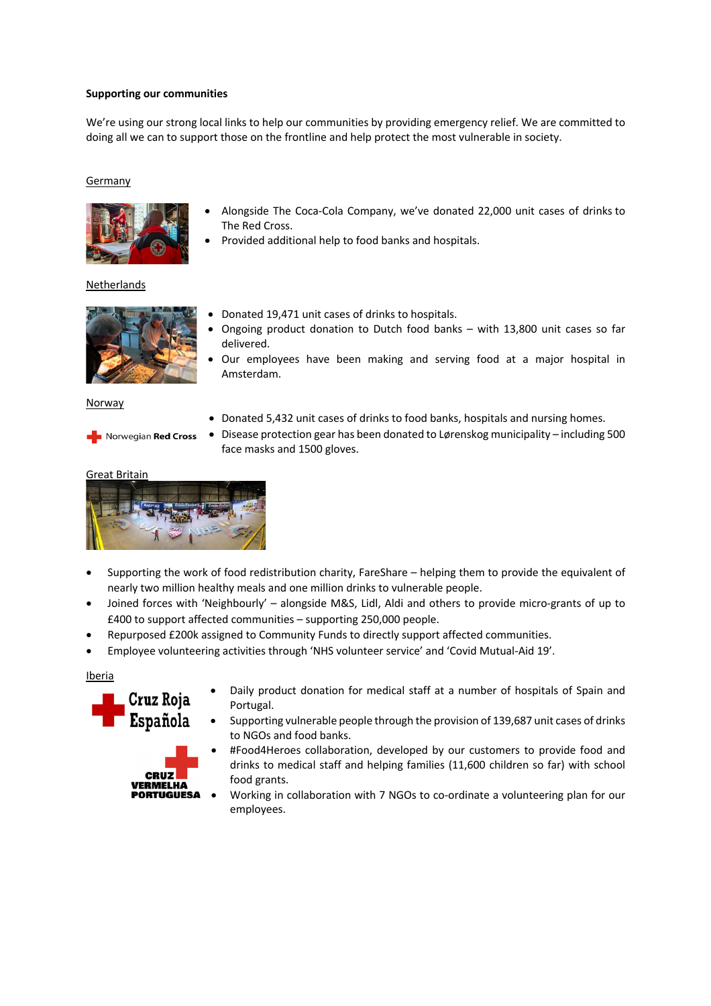# **Supporting our communities**

We're using our strong local links to help our communities by providing emergency relief. We are committed to doing all we can to support those on the frontline and help protect the most vulnerable in society.

# Germany



- Alongside The Coca-Cola Company, we've donated 22,000 unit cases of drinks to The Red Cross.
- Provided additional help to food banks and hospitals.

Netherlands



Norwegian Red Cross

- Donated 19,471 unit cases of drinks to hospitals.
- Ongoing product donation to Dutch food banks with 13,800 unit cases so far delivered.
- Our employees have been making and serving food at a major hospital in Amsterdam.

Norway

- Donated 5,432 unit cases of drinks to food banks, hospitals and nursing homes.
- Disease protection gear has been donated to Lørenskog municipality including 500 face masks and 1500 gloves.

### Great Britain



- Supporting the work of food redistribution charity, FareShare helping them to provide the equivalent of nearly two million healthy meals and one million drinks to vulnerable people.
- Joined forces with 'Neighbourly' alongside M&S, Lidl, Aldi and others to provide micro-grants of up to £400 to support affected communities – supporting 250,000 people.
- Repurposed £200k assigned to Community Funds to directly support affected communities.
- Employee volunteering activities through 'NHS volunteer service' and 'Covid Mutual-Aid 19'.

Iberia



**CRUZ VERMELHA** 

- Daily product donation for medical staff at a number of hospitals of Spain and Portugal.
- Supporting vulnerable people through the provision of 139,687 unit cases of drinks to NGOs and food banks.
- #Food4Heroes collaboration, developed by our customers to provide food and drinks to medical staff and helping families (11,600 children so far) with school food grants. **PORTUGUESA** 
	- Working in collaboration with 7 NGOs to co-ordinate a volunteering plan for our employees.